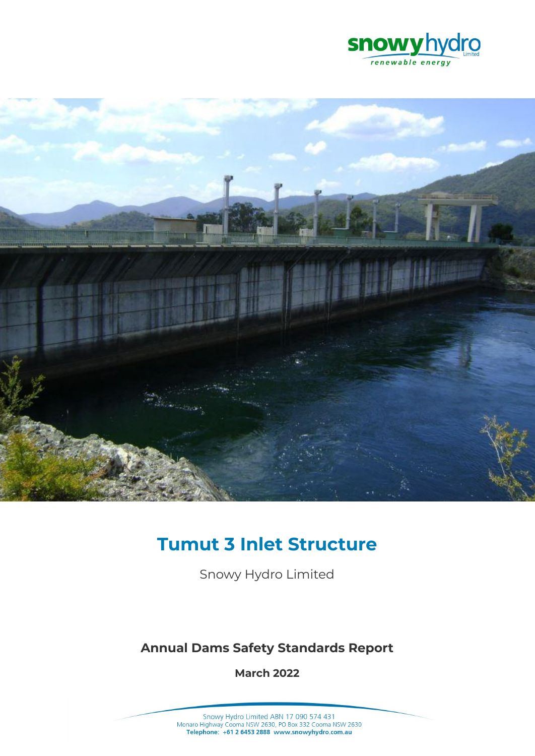



# **Tumut 3 Inlet Structure**

Snowy Hydro Limited

# **Annual Dams Safety Standards Report**

**March 2022**

Snowy Hydro Limited ABN 17 090 574 431<br>Monaro Highway Cooma NSW 2630, PO Box 332 Cooma NSW 2630<br>Telephone: +61 2 6453 2888 www.snowyhydro.com.au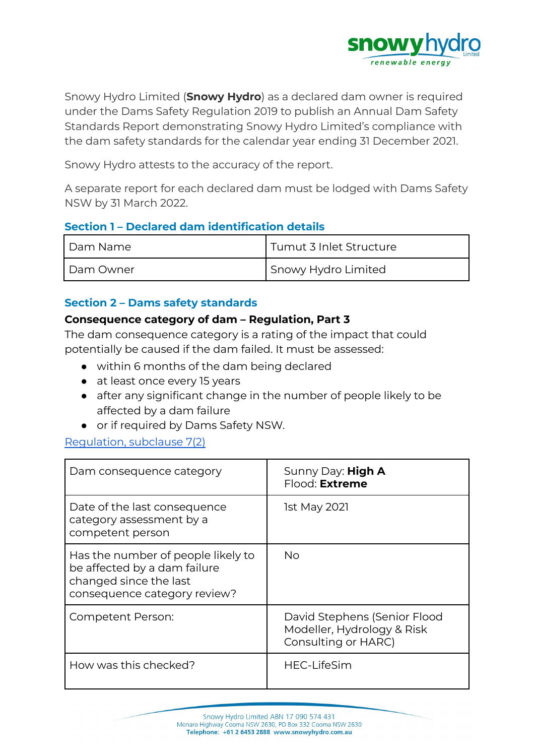

Snowy Hydro Limited (**Snowy Hydro**) as a declared dam owner is required under the Dams Safety Regulation 2019 to publish an Annual Dam Safety Standards Report demonstrating Snowy Hydro Limited's compliance with the dam safety standards for the calendar year ending 31 December 2021.

Snowy Hydro attests to the accuracy of the report.

A separate report for each declared dam must be lodged with Dams Safety NSW by 31 March 2022.

# **Section 1 – Declared dam identification details**

| Dam Name  | l Tumut 3 Inlet Structure |
|-----------|---------------------------|
| Dam Owner | Snowy Hydro Limited       |

# **Section 2 – Dams safety standards**

#### **Consequence category of dam – Regulation, Part 3**

The dam consequence category is a rating of the impact that could potentially be caused if the dam failed. It must be assessed:

- within 6 months of the dam being declared
- at least once every 15 years
- after any significant change in the number of people likely to be affected by a dam failure
- or if required by Dams Safety NSW.

#### [Regulation,](https://legislation.nsw.gov.au/view/html/inforce/current/sl-2019-0506#sec.7) subclause 7(2)

| Dam consequence category                                                                                                     | Sunny Day: High A<br>Flood: <b>Extreme</b>                                        |
|------------------------------------------------------------------------------------------------------------------------------|-----------------------------------------------------------------------------------|
| Date of the last consequence<br>category assessment by a<br>competent person                                                 | <b>1st May 2021</b>                                                               |
| Has the number of people likely to<br>be affected by a dam failure<br>changed since the last<br>consequence category review? | No                                                                                |
| Competent Person:                                                                                                            | David Stephens (Senior Flood<br>Modeller, Hydrology & Risk<br>Consulting or HARC) |
| How was this checked?                                                                                                        | <b>HEC-LifeSim</b>                                                                |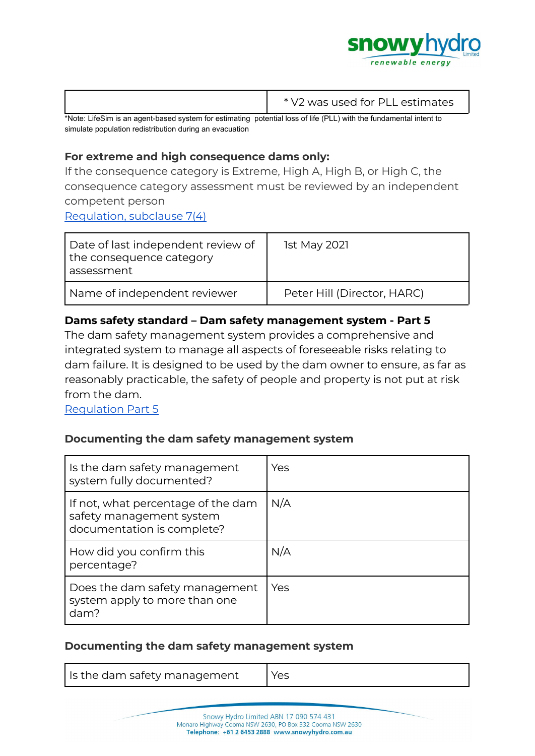

|                                                                                                                     | * V2 was used for PLL estimates |
|---------------------------------------------------------------------------------------------------------------------|---------------------------------|
| thlate Life Cim is an appet boose systems for cotinging including loss of life (DLL) with the fundamental intent to |                                 |

\*Note: LifeSim is an agent-based system for estimating potential loss of life (PLL) with the fundamental intent to simulate population redistribution during an evacuation

# **For extreme and high consequence dams only:**

If the consequence category is Extreme, High A, High B, or High C, the consequence category assessment must be reviewed by an independent competent person

[Regulation,](https://legislation.nsw.gov.au/view/html/inforce/current/sl-2019-0506#sec.7) subclause 7(4)

| Date of last independent review of<br>the consequence category<br>assessment | <b>1st May 2021</b>         |
|------------------------------------------------------------------------------|-----------------------------|
| Name of independent reviewer                                                 | Peter Hill (Director, HARC) |

# **Dams safety standard – Dam safety management system - Part 5**

The dam safety management system provides a comprehensive and integrated system to manage all aspects of foreseeable risks relating to dam failure. It is designed to be used by the dam owner to ensure, as far as reasonably practicable, the safety of people and property is not put at risk from the dam.

[Regulation](https://legislation.nsw.gov.au/view/html/inforce/current/sl-2019-0506#pt.5) Part 5

# **Documenting the dam safety management system**

| Is the dam safety management<br>system fully documented?                                     | Yes |
|----------------------------------------------------------------------------------------------|-----|
| If not, what percentage of the dam<br>safety management system<br>documentation is complete? | N/A |
| How did you confirm this<br>percentage?                                                      | N/A |
| Does the dam safety management<br>system apply to more than one<br>dam?                      | Yes |

#### **Documenting the dam safety management system**

| Is the dam safety management | Yes |
|------------------------------|-----|
|------------------------------|-----|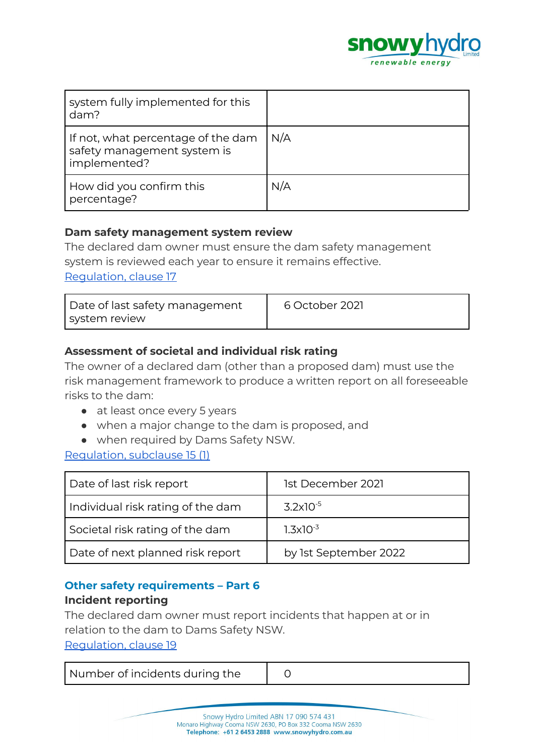

| system fully implemented for this<br>dam?                                         |     |
|-----------------------------------------------------------------------------------|-----|
| If not, what percentage of the dam<br>safety management system is<br>implemented? | N/A |
| How did you confirm this<br>percentage?                                           | N/A |

#### **Dam safety management system review**

The declared dam owner must ensure the dam safety management system is reviewed each year to ensure it remains effective. [Regulation,](https://legislation.nsw.gov.au/view/html/inforce/current/sl-2019-0506#sec.17) clause 17

| Date of last safety management<br>system review | 6 October 2021 |
|-------------------------------------------------|----------------|
|-------------------------------------------------|----------------|

# **Assessment of societal and individual risk rating**

The owner of a declared dam (other than a proposed dam) must use the risk management framework to produce a written report on all foreseeable risks to the dam:

- at least once every 5 years
- when a major change to the dam is proposed, and
- when required by Dams Safety NSW.

#### [Regulation,](https://legislation.nsw.gov.au/view/html/inforce/current/sl-2019-0506#sec.15) subclause 15 (1)

| Date of last risk report          | 1st December 2021     |
|-----------------------------------|-----------------------|
| Individual risk rating of the dam | $3.2\times10^{-5}$    |
| Societal risk rating of the dam   | $1.3 \times 10^{-3}$  |
| Date of next planned risk report  | by 1st September 2022 |

# **Other safety requirements – Part 6**

#### **Incident reporting**

The declared dam owner must report incidents that happen at or in relation to the dam to Dams Safety NSW. [Regulation,](https://legislation.nsw.gov.au/view/html/inforce/current/sl-2019-0506#sec.19) clause 19

| Number of incidents during the |  |
|--------------------------------|--|
|--------------------------------|--|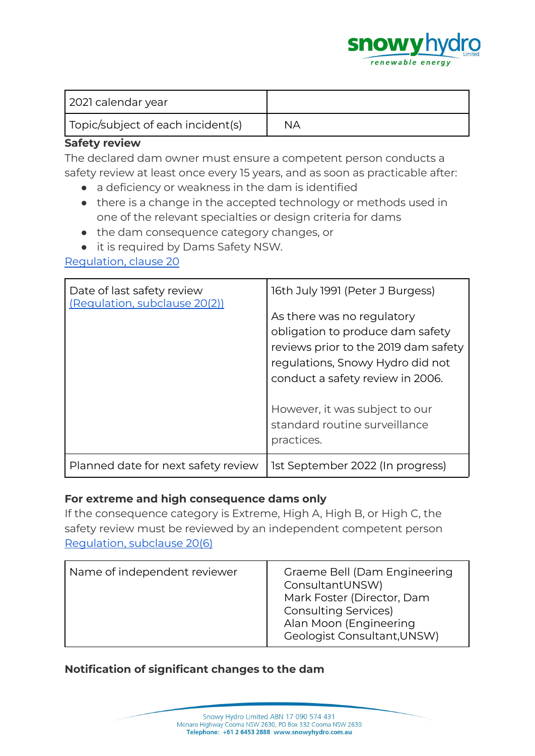

| 2021 calendar year                |    |
|-----------------------------------|----|
| Topic/subject of each incident(s) | NА |

#### **Safety review**

The declared dam owner must ensure a competent person conducts a safety review at least once every 15 years, and as soon as practicable after:

- a deficiency or weakness in the dam is identified
- there is a change in the accepted technology or methods used in one of the relevant specialties or design criteria for dams
- the dam consequence category changes, or
- it is required by Dams Safety NSW.

[Regulation,](https://legislation.nsw.gov.au/view/html/inforce/current/sl-2019-0506#sec.20) clause 20

| Date of last safety review<br>(Requlation, subclause 20(2)) | 16th July 1991 (Peter J Burgess)<br>As there was no regulatory<br>obligation to produce dam safety<br>reviews prior to the 2019 dam safety<br>regulations, Snowy Hydro did not<br>conduct a safety review in 2006. |
|-------------------------------------------------------------|--------------------------------------------------------------------------------------------------------------------------------------------------------------------------------------------------------------------|
|                                                             | However, it was subject to our<br>standard routine surveillance<br>practices.                                                                                                                                      |
| Planned date for next safety review                         | 1st September 2022 (In progress)                                                                                                                                                                                   |

# **For extreme and high consequence dams only**

If the consequence category is Extreme, High A, High B, or High C, the safety review must be reviewed by an independent competent person [Regulation,](https://legislation.nsw.gov.au/view/html/inforce/current/sl-2019-0506#sec.7) subclause 20(6)

| Name of independent reviewer | Graeme Bell (Dam Engineering<br>ConsultantUNSW)<br>Mark Foster (Director, Dam<br><b>Consulting Services)</b><br>Alan Moon (Engineering<br>Geologist Consultant, UNSW) |
|------------------------------|-----------------------------------------------------------------------------------------------------------------------------------------------------------------------|
|------------------------------|-----------------------------------------------------------------------------------------------------------------------------------------------------------------------|

# **Notification of significant changes to the dam**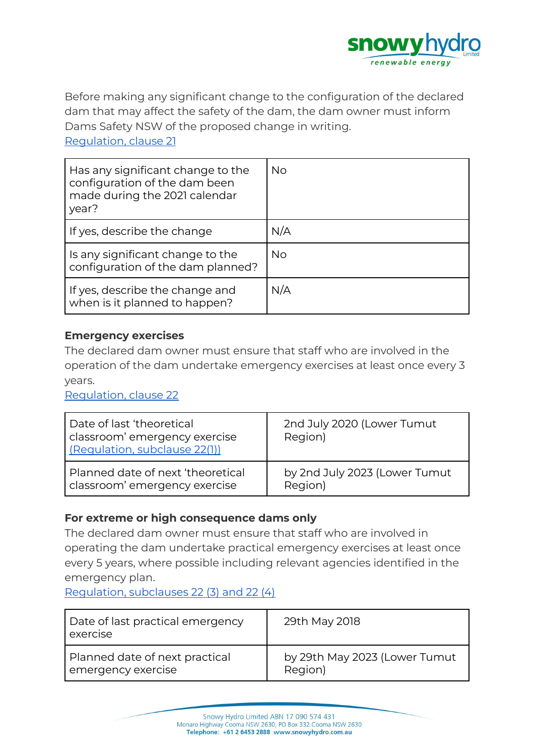

Before making any significant change to the configuration of the declared dam that may affect the safety of the dam, the dam owner must inform Dams Safety NSW of the proposed change in writing. [Regulation,](https://legislation.nsw.gov.au/view/html/inforce/current/sl-2019-0506#sec.21) clause 21

| Has any significant change to the<br>configuration of the dam been<br>made during the 2021 calendar<br>year? | No.       |
|--------------------------------------------------------------------------------------------------------------|-----------|
| If yes, describe the change                                                                                  | N/A       |
| Is any significant change to the<br>configuration of the dam planned?                                        | <b>No</b> |
| If yes, describe the change and<br>when is it planned to happen?                                             | N/A       |

#### **Emergency exercises**

The declared dam owner must ensure that staff who are involved in the operation of the dam undertake emergency exercises at least once every 3 years.

[Regulation,](https://legislation.nsw.gov.au/view/html/inforce/current/sl-2019-0506#sec.22) clause 22

| Date of last 'theoretical<br>classroom' emergency exercise<br>(Regulation, subclause 22(1)) | 2nd July 2020 (Lower Tumut<br>Region) |
|---------------------------------------------------------------------------------------------|---------------------------------------|
| Planned date of next 'theoretical                                                           | by 2nd July 2023 (Lower Tumut         |
| classroom' emergency exercise                                                               | Region)                               |

# **For extreme or high consequence dams only**

The declared dam owner must ensure that staff who are involved in operating the dam undertake practical emergency exercises at least once every 5 years, where possible including relevant agencies identified in the emergency plan.

[Regulation,](https://legislation.nsw.gov.au/view/html/inforce/current/sl-2019-0506#sec.22) subclauses 22 (3) and 22 (4)

| Date of last practical emergency<br>exercise | 29th May 2018                 |
|----------------------------------------------|-------------------------------|
| Planned date of next practical               | by 29th May 2023 (Lower Tumut |
| emergency exercise                           | Region)                       |